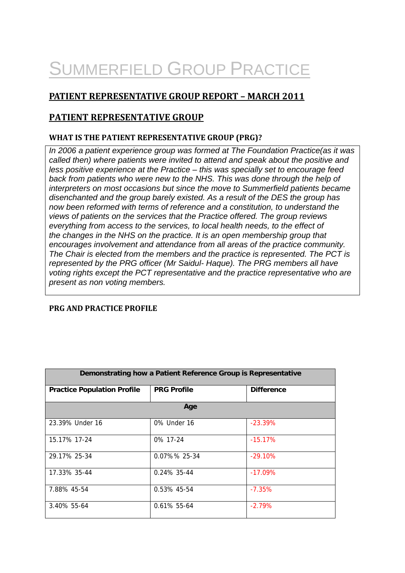# SUMMERFIELD GROUP PRACTICE

# **PATIENT REPRESENTATIVE GROUP REPORT – MARCH 2011**

# **PATIENT REPRESENTATIVE GROUP**

# **WHAT IS THE PATIENT REPRESENTATIVE GROUP (PRG)?**

*In 2006 a patient experience group was formed at The Foundation Practice(as it was called then) where patients were invited to attend and speak about the positive and less positive experience at the Practice – this was specially set to encourage feed back from patients who were new to the NHS. This was done through the help of interpreters on most occasions but since the move to Summerfield patients became disenchanted and the group barely existed. As a result of the DES the group has now been reformed with terms of reference and a constitution, to understand the views of patients on the services that the Practice offered. The group reviews everything from access to the services, to local health needs, to the effect of the changes in the NHS on the practice. It is an open membership group that encourages involvement and attendance from all areas of the practice community. The Chair is elected from the members and the practice is represented. The PCT is represented by the PRG officer (Mr Saidul- Haque). The PRG members all have voting rights except the PCT representative and the practice representative who are present as non voting members.*

# **PRG AND PRACTICE PROFILE**

| Demonstrating how a Patient Reference Group is Representative |                    |                   |  |
|---------------------------------------------------------------|--------------------|-------------------|--|
| <b>Practice Population Profile</b>                            | <b>PRG Profile</b> | <b>Difference</b> |  |
| Age                                                           |                    |                   |  |
| 23.39% Under 16                                               | 0% Under 16        | $-23.39\%$        |  |
| 15.17% 17-24                                                  | 0% 17-24           | $-15.17%$         |  |
| 29.17% 25-34                                                  | 0.07%% 25-34       | $-29.10%$         |  |
| 17.33% 35-44                                                  | $0.24\%$ 35-44     | $-17.09\%$        |  |
| 7.88% 45-54                                                   | 0.53% 45-54        | $-7.35%$          |  |
| 3.40% 55-64                                                   | 0.61% 55-64        | $-2.79%$          |  |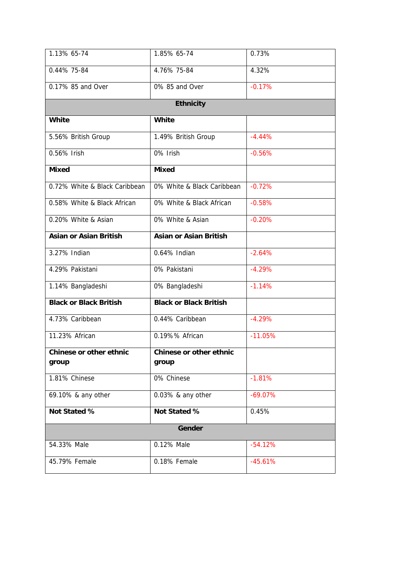| 1.13% 65-74                             | 1.85% 65-74                      | 0.73%     |
|-----------------------------------------|----------------------------------|-----------|
| 0.44% 75-84                             | 4.76% 75-84                      | 4.32%     |
| 0.17% 85 and Over                       | 0% 85 and Over                   | $-0.17%$  |
|                                         | <b>Ethnicity</b>                 |           |
| <b>White</b>                            | <b>White</b>                     |           |
| 5.56% British Group                     | 1.49% British Group              | $-4.44%$  |
| 0.56% Irish                             | 0% Irish                         | $-0.56%$  |
| <b>Mixed</b>                            | <b>Mixed</b>                     |           |
| 0.72% White & Black Caribbean           | 0% White & Black Caribbean       | $-0.72%$  |
| 0.58% White & Black African             | 0% White & Black African         | $-0.58%$  |
| 0.20% White & Asian                     | 0% White & Asian                 | $-0.20%$  |
| <b>Asian or Asian British</b>           | <b>Asian or Asian British</b>    |           |
| 3.27% Indian                            | 0.64% Indian                     | $-2.64%$  |
| 4.29% Pakistani                         | 0% Pakistani                     | $-4.29%$  |
| 1.14% Bangladeshi                       | 0% Bangladeshi                   | $-1.14%$  |
| <b>Black or Black British</b>           | <b>Black or Black British</b>    |           |
| 4.73% Caribbean                         | 0.44% Caribbean                  | $-4.29%$  |
| 11.23% African                          | 0.19%% African                   | $-11.05%$ |
| <b>Chinese or other ethnic</b><br>group | Chinese or other ethnic<br>group |           |
| 1.81% Chinese                           | 0% Chinese                       | $-1.81%$  |
| 69.10% & any other                      | 0.03% & any other                | $-69.07%$ |
| Not Stated %                            | Not Stated %                     | 0.45%     |
|                                         | Gender                           |           |
| 54.33% Male                             | 0.12% Male                       | $-54.12%$ |
| 45.79% Female                           | 0.18% Female                     | $-45.61%$ |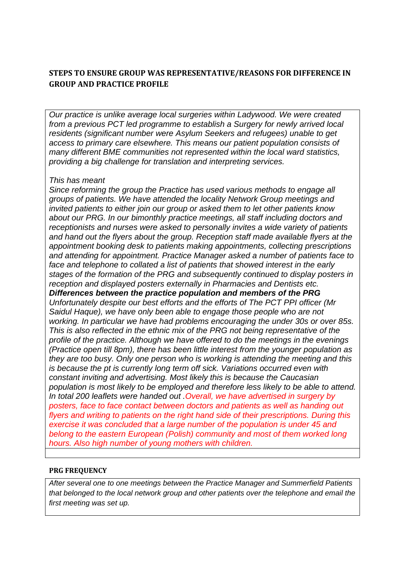# **STEPS TO ENSURE GROUP WAS REPRESENTATIVE/REASONS FOR DIFFERENCE IN GROUP AND PRACTICE PROFILE**

*Our practice is unlike average local surgeries within Ladywood. We were created from a previous PCT led programme to establish a Surgery for newly arrived local residents (significant number were Asylum Seekers and refugees) unable to get access to primary care elsewhere. This means our patient population consists of many different BME communities not represented within the local ward statistics, providing a big challenge for translation and interpreting services.* 

### *This has meant*

*Since reforming the group the Practice has used various methods to engage all groups of patients. We have attended the locality Network Group meetings and invited patients to either join our group or asked them to let other patients know about our PRG. In our bimonthly practice meetings, all staff including doctors and receptionists and nurses were asked to personally invites a wide variety of patients and hand out the flyers about the group. Reception staff made available flyers at the appointment booking desk to patients making appointments, collecting prescriptions and attending for appointment. Practice Manager asked a number of patients face to face and telephone to collated a list of patients that showed interest in the early stages of the formation of the PRG and subsequently continued to display posters in reception and displayed posters externally in Pharmacies and Dentists etc. Differences between the practice population and members of the PRG Unfortunately despite our best efforts and the efforts of The PCT PPI officer (Mr Saidul Haque), we have only been able to engage those people who are not working. In particular we have had problems encouraging the under 30s or over 85s. This is also reflected in the ethnic mix of the PRG not being representative of the profile of the practice. Although we have offered to do the meetings in the evenings (Practice open till 8pm), there has been little interest from the younger population as they are too busy. Only one person who is working is attending the meeting and this is because the pt is currently long term off sick. Variations occurred even with constant inviting and advertising. Most likely this is because the Caucasian population is most likely to be employed and therefore less likely to be able to attend. In total 200 leaflets were handed out .Overall, we have advertised in surgery by posters, face to face contact between doctors and patients as well as handing out flyers and writing to patients on the right hand side of their prescriptions. During this exercise it was concluded that a large number of the population is under 45 and belong to the eastern European (Polish) community and most of them worked long hours. Also high number of young mothers with children.*

### **PRG FREQUENCY**

*After several one to one meetings between the Practice Manager and Summerfield Patients that belonged to the local network group and other patients over the telephone and email the first meeting was set up.*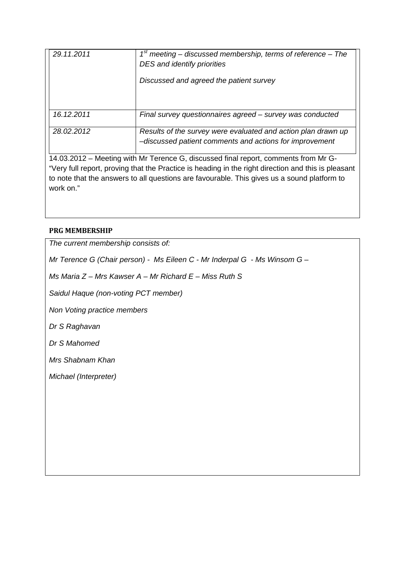| 29.11.2011 | $1st$ meeting – discussed membership, terms of reference – The<br>DES and identify priorities<br>Discussed and agreed the patient survey |
|------------|------------------------------------------------------------------------------------------------------------------------------------------|
| 16.12.2011 | Final survey questionnaires agreed – survey was conducted                                                                                |
| 28.02.2012 | Results of the survey were evaluated and action plan drawn up<br>-discussed patient comments and actions for improvement                 |
|            | 14.03.2012 - Meeting with Mr Terence G, discussed final report, comments from Mr G-                                                      |

"Very full report, proving that the Practice is heading in the right direction and this is pleasant to note that the answers to all questions are favourable. This gives us a sound platform to work on."

# **PRG MEMBERSHIP**

*The current membership consists of: Mr Terence G (Chair person) - Ms Eileen C - Mr Inderpal G - Ms Winsom G – Ms Maria Z – Mrs Kawser A – Mr Richard E – Miss Ruth S* 

*Saidul Haque (non-voting PCT member)* 

*Non Voting practice members* 

*Dr S Raghavan* 

*Dr S Mahomed* 

*Mrs Shabnam Khan* 

*Michael (Interpreter)*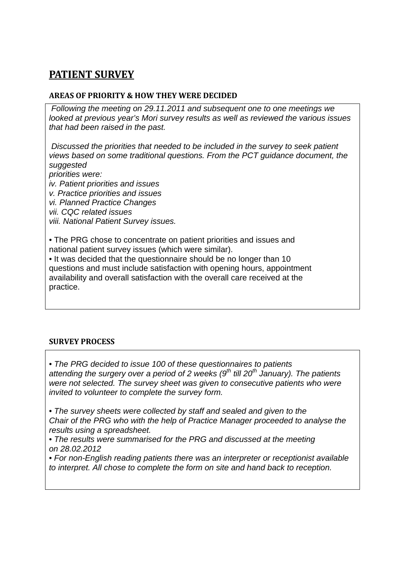# **PATIENT SURVEY**

# **AREAS OF PRIORITY & HOW THEY WERE DECIDED**

 *Following the meeting on 29.11.2011 and subsequent one to one meetings we looked at previous year's Mori survey results as well as reviewed the various issues that had been raised in the past.* 

 *Discussed the priorities that needed to be included in the survey to seek patient views based on some traditional questions. From the PCT guidance document, the suggested* 

*priorities were: iv. Patient priorities and issues v. Practice priorities and issues vi. Planned Practice Changes vii. CQC related issues viii. National Patient Survey issues.* 

• The PRG chose to concentrate on patient priorities and issues and national patient survey issues (which were similar).

• It was decided that the questionnaire should be no longer than 10 questions and must include satisfaction with opening hours, appointment availability and overall satisfaction with the overall care received at the practice.

# **SURVEY PROCESS**

• *The PRG decided to issue 100 of these questionnaires to patients*  attending the surgery over a period of 2 weeks (9<sup>th</sup> till 20<sup>th</sup> January). The patients *were not selected. The survey sheet was given to consecutive patients who were invited to volunteer to complete the survey form.* 

• *The survey sheets were collected by staff and sealed and given to the Chair of the PRG who with the help of Practice Manager proceeded to analyse the results using a spreadsheet.* 

• *The results were summarised for the PRG and discussed at the meeting on 28.02.2012* 

• *For non-English reading patients there was an interpreter or receptionist available to interpret. All chose to complete the form on site and hand back to reception.*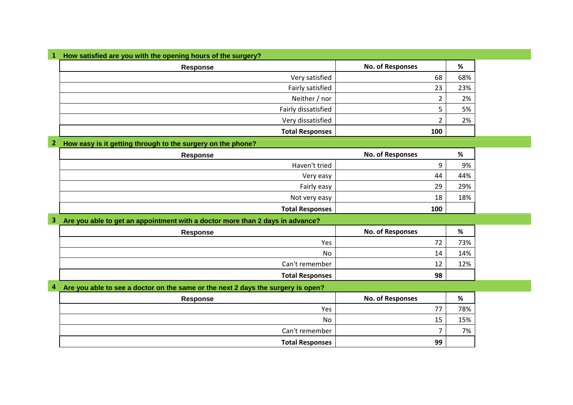| 1 How satisfied are you with the opening hours of the surgery? |                         |     |
|----------------------------------------------------------------|-------------------------|-----|
| Response                                                       | <b>No. of Responses</b> | %   |
| Very satisfied                                                 | 68                      | 68% |
| Fairly satisfied                                               | 23                      | 23% |
| Neither / nor                                                  |                         | 2%  |
| Fairly dissatisfied                                            |                         | 5%  |
| Very dissatisfied                                              |                         | 2%  |
| <b>Total Responses</b>                                         | 100                     |     |

#### **2 How easy is it getting through to the surgery on the phone?**

| Response               | <b>No. of Responses</b> | %   |
|------------------------|-------------------------|-----|
| Haven't tried          | Q                       | 9%  |
| Very easy              | 44                      | 44% |
| Fairly easy            | 29                      | 29% |
| Not very easy          | 18                      | 18% |
| <b>Total Responses</b> | 100                     |     |

#### **3 Are you able to get an appointment with a doctor more than 2 days in advance?**

| Response               | <b>No. of Responses</b> | %   |
|------------------------|-------------------------|-----|
| Yes                    | っっ                      | 73% |
| No                     | 14                      | 14% |
| Can't remember         | 1 ว<br>∸∸               | 12% |
| <b>Total Responses</b> | 98                      |     |

#### **4 Are you able to see a doctor on the same or the next 2 days the surgery is open?**

| Response               | <b>No. of Responses</b> | %   |
|------------------------|-------------------------|-----|
| Yes                    |                         | 78% |
| No                     | 15                      | 15% |
| Can't remember         |                         | 7%  |
| <b>Total Responses</b> | 99                      |     |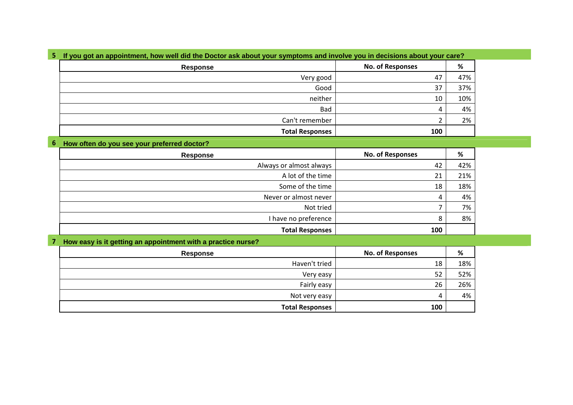|  | 5 If you got an appointment, how well did the Doctor ask about your symptoms and involve you in decisions about your care? |  |  |
|--|----------------------------------------------------------------------------------------------------------------------------|--|--|
|--|----------------------------------------------------------------------------------------------------------------------------|--|--|

| Response               | <b>No. of Responses</b> | %   |
|------------------------|-------------------------|-----|
| Very good              | 47                      | 47% |
| Good                   | 37                      | 37% |
| neither                | 10                      | 10% |
| Bad                    | 4                       | 4%  |
| Can't remember         |                         | 2%  |
| <b>Total Responses</b> | 100                     |     |

#### **6 How often do you see your preferred doctor?**

| <b>Response</b>         | <b>No. of Responses</b> | %   |
|-------------------------|-------------------------|-----|
| Always or almost always | 42                      | 42% |
| A lot of the time       | 21                      | 21% |
| Some of the time        | 18                      | 18% |
| Never or almost never   | 4                       | 4%  |
| Not tried               |                         | 7%  |
| I have no preference    | 8                       | 8%  |
| <b>Total Responses</b>  | 100                     |     |

#### **7 How easy is it getting an appointment with a practice nurse?**

| Response               | <b>No. of Responses</b> | %   |
|------------------------|-------------------------|-----|
| Haven't tried          | 18                      | 18% |
| Very easy              | 52                      | 52% |
| Fairly easy            | 26                      | 26% |
| Not very easy          | 4                       | 4%  |
| <b>Total Responses</b> | 100                     |     |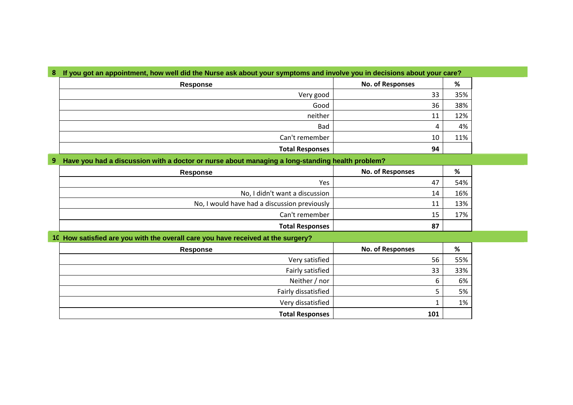| 8 If you got an appointment, how well did the Nurse ask about your symptoms and involve you in decisions about your care? |  |
|---------------------------------------------------------------------------------------------------------------------------|--|
|---------------------------------------------------------------------------------------------------------------------------|--|

| Response               | <b>No. of Responses</b> | %   |
|------------------------|-------------------------|-----|
| Very good              | 33                      | 35% |
| Good                   | 36                      | 38% |
| neither                | 11                      | 12% |
| Bad                    | 4                       | 4%  |
| Can't remember         | 10                      | 11% |
| <b>Total Responses</b> | 94                      |     |

#### **9 Have you had a discussion with a doctor or nurse about managing a long-standing health problem?**

| <b>Response</b>                              | <b>No. of Responses</b> | %   |
|----------------------------------------------|-------------------------|-----|
| <b>Yes</b>                                   | 47                      | 54% |
| No, I didn't want a discussion               | 14                      | 16% |
| No, I would have had a discussion previously | 11                      | 13% |
| Can't remember                               | 15                      | 17% |
| <b>Total Responses</b>                       | 87                      |     |

#### **10 How satisfied are you with the overall care you have received at the surgery?**

| <b>Response</b>        | <b>No. of Responses</b> | %   |
|------------------------|-------------------------|-----|
| Very satisfied         | 56                      | 55% |
| Fairly satisfied       | 33                      | 33% |
| Neither / nor          | 6                       | 6%  |
| Fairly dissatisfied    |                         | 5%  |
| Very dissatisfied      |                         | 1%  |
| <b>Total Responses</b> | 101                     |     |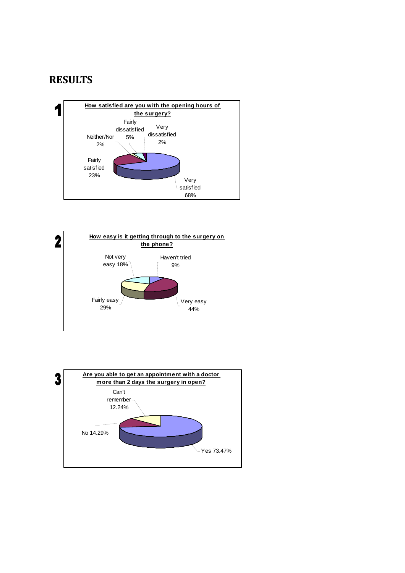# **RESULTS**





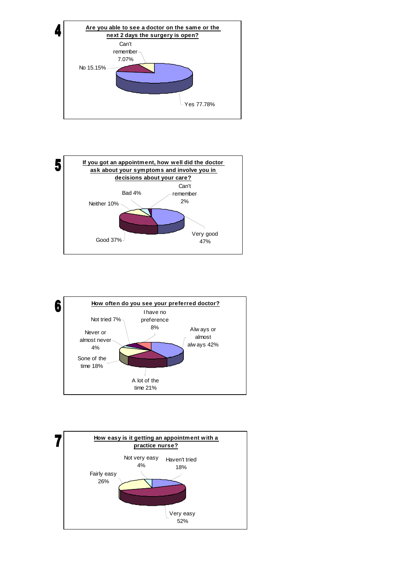





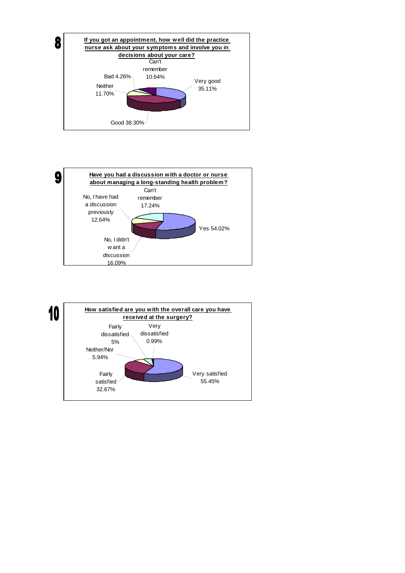



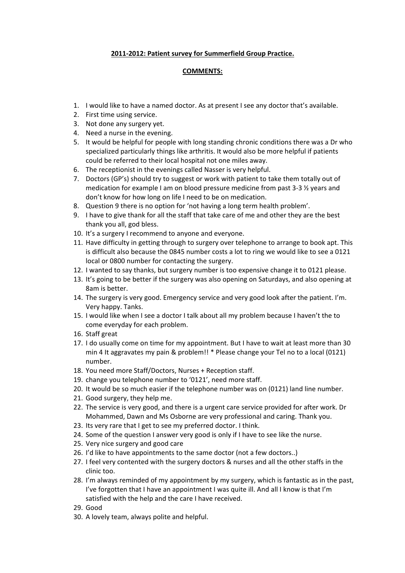### **2011‐2012: Patient survey for Summerfield Group Practice.**

### **COMMENTS:**

- 1. I would like to have a named doctor. As at present I see any doctor that's available.
- 2. First time using service.
- 3. Not done any surgery yet.
- 4. Need a nurse in the evening.
- 5. It would be helpful for people with long standing chronic conditions there was a Dr who specialized particularly things like arthritis. It would also be more helpful if patients could be referred to their local hospital not one miles away.
- 6. The receptionist in the evenings called Nasser is very helpful.
- 7. Doctors (GP's) should try to suggest or work with patient to take them totally out of medication for example I am on blood pressure medicine from past 3‐3 ½ years and don't know for how long on life I need to be on medication.
- 8. Question 9 there is no option for 'not having a long term health problem'.
- 9. I have to give thank for all the staff that take care of me and other they are the best thank you all, god bless.
- 10. It's a surgery I recommend to anyone and everyone.
- 11. Have difficulty in getting through to surgery over telephone to arrange to book apt. This is difficult also because the 0845 number costs a lot to ring we would like to see a 0121 local or 0800 number for contacting the surgery.
- 12. I wanted to say thanks, but surgery number is too expensive change it to 0121 please.
- 13. It's going to be better if the surgery was also opening on Saturdays, and also opening at 8am is better.
- 14. The surgery is very good. Emergency service and very good look after the patient. I'm. Very happy. Tanks.
- 15. I would like when I see a doctor I talk about all my problem because I haven't the to come everyday for each problem.
- 16. Staff great
- 17. I do usually come on time for my appointment. But I have to wait at least more than 30 min 4 It aggravates my pain & problem!! \* Please change your Tel no to a local (0121) number.
- 18. You need more Staff/Doctors, Nurses + Reception staff.
- 19. change you telephone number to '0121', need more staff.
- 20. It would be so much easier if the telephone number was on (0121) land line number.
- 21. Good surgery, they help me.
- 22. The service is very good, and there is a urgent care service provided for after work. Dr Mohammed, Dawn and Ms Osborne are very professional and caring. Thank you.
- 23. Its very rare that I get to see my preferred doctor. I think.
- 24. Some of the question I answer very good is only if I have to see like the nurse.
- 25. Very nice surgery and good care
- 26. I'd like to have appointments to the same doctor (not a few doctors..)
- 27. I feel very contented with the surgery doctors & nurses and all the other staffs in the clinic too.
- 28. I'm always reminded of my appointment by my surgery, which is fantastic as in the past, I've forgotten that I have an appointment I was quite ill. And all I know is that I'm satisfied with the help and the care I have received.
- 29. Good
- 30. A lovely team, always polite and helpful.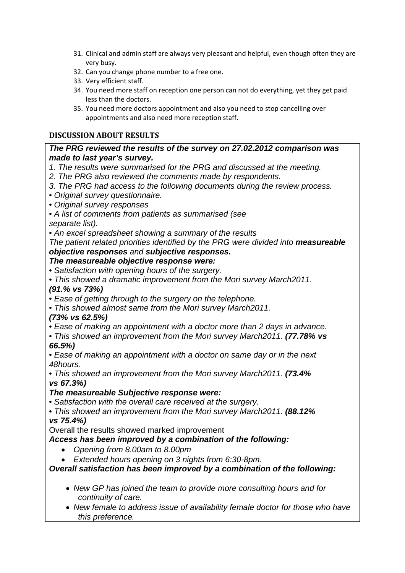- 31. Clinical and admin staff are always very pleasant and helpful, even though often they are very busy.
- 32. Can you change phone number to a free one.
- 33. Very efficient staff.
- 34. You need more staff on reception one person can not do everything, yet they get paid less than the doctors.
- 35. You need more doctors appointment and also you need to stop cancelling over appointments and also need more reception staff.

# **DISCUSSION ABOUT RESULTS**

# *The PRG reviewed the results of the survey on 27.02.2012 comparison was made to last year's survey.*

- *1. The results were summarised for the PRG and discussed at the meeting.*
- *2. The PRG also reviewed the comments made by respondents.*
- *3. The PRG had access to the following documents during the review process.*
- *Original survey questionnaire.*
- *Original survey responses*
- *A list of comments from patients as summarised (see*

*separate list).* 

• *An excel spreadsheet showing a summary of the results* 

*The patient related priorities identified by the PRG were divided into measureable objective responses and subjective responses.* 

# *The measureable objective response were:*

- *Satisfaction with opening hours of the surgery.*
- *This showed a dramatic improvement from the Mori survey March2011. (91.% vs 73%)*
- *Ease of getting through to the surgery on the telephone.*
- *This showed almost same from the Mori survey March2011.*
- *(73% vs 62.5%)*
- *Ease of making an appointment with a doctor more than 2 days in advance.*
- *This showed an improvement from the Mori survey March2011. (77.78% vs*
- *66.5%)*

• *Ease of making an appointment with a doctor on same day or in the next 48hours.* 

• *This showed an improvement from the Mori survey March2011. (73.4% vs 67.3%)* 

# *The measureable Subjective response were:*

• *Satisfaction with the overall care received at the surgery.* 

• *This showed an improvement from the Mori survey March2011. (88.12% vs 75.4%)* 

Overall the results showed marked improvement

*Access has been improved by a combination of the following:* 

- *Opening from 8.00am to 8.00pm*
- *Extended hours opening on 3 nights from 6:30-8pm.*

# *Overall satisfaction has been improved by a combination of the following:*

- *New GP has joined the team to provide more consulting hours and for continuity of care.*
- *New female to address issue of availability female doctor for those who have this preference.*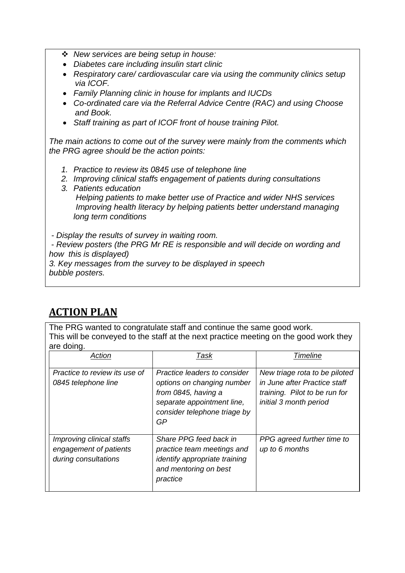- *New services are being setup in house:*
- *Diabetes care including insulin start clinic*
- *Respiratory care/ cardiovascular care via using the community clinics setup via ICOF.*
- *Family Planning clinic in house for implants and IUCDs*
- *Co-ordinated care via the Referral Advice Centre (RAC) and using Choose and Book.*
- *Staff training as part of ICOF front of house training Pilot.*

*The main actions to come out of the survey were mainly from the comments which the PRG agree should be the action points:* 

- *1. Practice to review its 0845 use of telephone line*
- *2. Improving clinical staffs engagement of patients during consultations*
- *3. Patients education*

 *Helping patients to make better use of Practice and wider NHS services Improving health literacy by helping patients better understand managing long term conditions* 

 *- Display the results of survey in waiting room.* 

 - *Review posters (the PRG Mr RE is responsible and will decide on wording and how this is displayed)* 

*3. Key messages from the survey to be displayed in speech bubble posters.* 

# **ACTION PLAN**

The PRG wanted to congratulate staff and continue the same good work. This will be conveyed to the staff at the next practice meeting on the good work they are doing.

| Action                                                                      | Task                                                                                                                                                  | <b>Timeline</b>                                                                                                          |
|-----------------------------------------------------------------------------|-------------------------------------------------------------------------------------------------------------------------------------------------------|--------------------------------------------------------------------------------------------------------------------------|
| Practice to review its use of<br>0845 telephone line                        | Practice leaders to consider<br>options on changing number<br>from 0845, having a<br>separate appointment line,<br>consider telephone triage by<br>GP | New triage rota to be piloted<br>in June after Practice staff<br>training. Pilot to be run for<br>initial 3 month period |
| Improving clinical staffs<br>engagement of patients<br>during consultations | Share PPG feed back in<br>practice team meetings and<br><i>identify appropriate training</i><br>and mentoring on best<br>practice                     | PPG agreed further time to<br>up to 6 months                                                                             |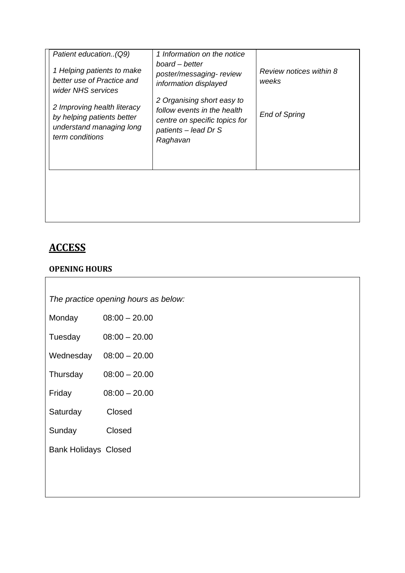| Patient education. (Q9)<br>1 Helping patients to make<br>better use of Practice and<br>wider NHS services | 1 Information on the notice<br>board – better<br>poster/messaging-review<br>information displayed                              | Review notices within 8<br>weeks |
|-----------------------------------------------------------------------------------------------------------|--------------------------------------------------------------------------------------------------------------------------------|----------------------------------|
| 2 Improving health literacy<br>by helping patients better<br>understand managing long<br>term conditions  | 2 Organising short easy to<br>follow events in the health<br>centre on specific topics for<br>patients - lead Dr S<br>Raghavan | <b>End of Spring</b>             |
|                                                                                                           |                                                                                                                                |                                  |

# **ACCESS**

# **OPENING HOURS**

| The practice opening hours as below: |  |  |
|--------------------------------------|--|--|
|                                      |  |  |

| Monday | $08:00 - 20.00$ |
|--------|-----------------|
|--------|-----------------|

- Tuesday 08:00 20.00
- Wednesday 08:00 20.00
- Thursday 08:00 20.00
- Friday 08:00 20.00
- Saturday Closed
- Sunday Closed
- Bank Holidays Closed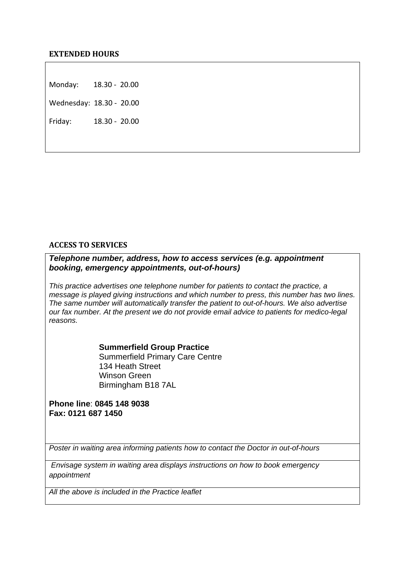Monday: 18.30 - 20.00

Wednesday: 18.30 ‐ 20.00

Friday: 18.30 ‐ 20.00

### **ACCESS TO SERVICES**

*Telephone number, address, how to access services (e.g. appointment booking, emergency appointments, out-of-hours)* 

*This practice advertises one telephone number for patients to contact the practice, a message is played giving instructions and which number to press, this number has two lines. The same number will automatically transfer the patient to out-of-hours. We also advertise our fax number. At the present we do not provide email advice to patients for medico-legal reasons.* 

> **Summerfield Group Practice** Summerfield Primary Care Centre 134 Heath Street Winson Green Birmingham B18 7AL

**Phone line**: **0845 148 9038 Fax: 0121 687 1450** 

*Poster in waiting area informing patients how to contact the Doctor in out-of-hours* 

 *Envisage system in waiting area displays instructions on how to book emergency appointment* 

*All the above is included in the Practice leaflet*